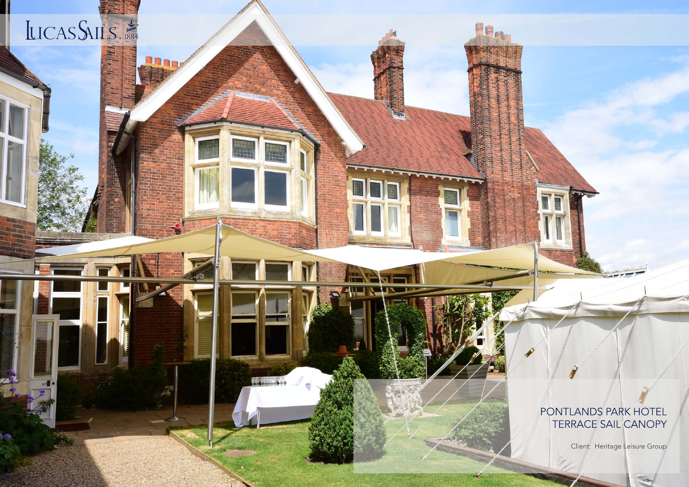## LICASSAILS.

lanne

**Provided &** 

## PONTLANDS PARK HOTEL TERRACE SAIL CANOPY

FE.

Client: Heritage Leisure Group